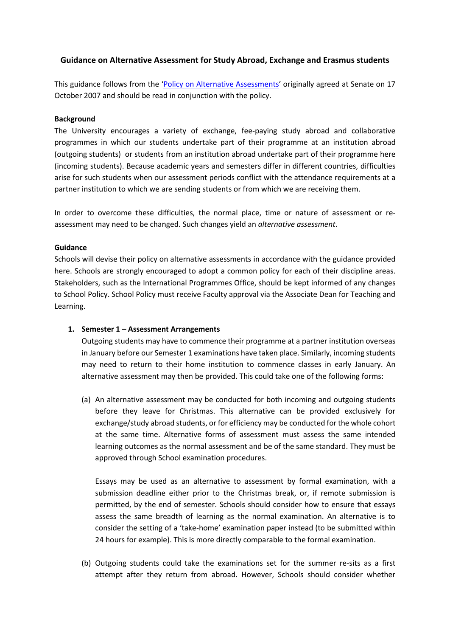# **Guidance on Alternative Assessment for Study Abroad, Exchange and Erasmus students**

This guidance follows from the ['Policy on Alternative Assessments'](https://www.staffnet.manchester.ac.uk/tlso/policy-guidance/assessment/practice-of-assessment/alternative-assessments/) originally agreed at Senate on 17 October 2007 and should be read in conjunction with the policy.

### **Background**

The University encourages a variety of exchange, fee-paying study abroad and collaborative programmes in which our students undertake part of their programme at an institution abroad (outgoing students) or students from an institution abroad undertake part of their programme here (incoming students). Because academic years and semesters differ in different countries, difficulties arise for such students when our assessment periods conflict with the attendance requirements at a partner institution to which we are sending students or from which we are receiving them.

In order to overcome these difficulties, the normal place, time or nature of assessment or reassessment may need to be changed. Such changes yield an *alternative assessment*.

## **Guidance**

Schools will devise their policy on alternative assessments in accordance with the guidance provided here. Schools are strongly encouraged to adopt a common policy for each of their discipline areas. Stakeholders, such as the International Programmes Office, should be kept informed of any changes to School Policy. School Policy must receive Faculty approval via the Associate Dean for Teaching and Learning.

## **1. Semester 1 – Assessment Arrangements**

Outgoing students may have to commence their programme at a partner institution overseas in January before our Semester 1 examinations have taken place. Similarly, incoming students may need to return to their home institution to commence classes in early January. An alternative assessment may then be provided. This could take one of the following forms:

(a) An alternative assessment may be conducted for both incoming and outgoing students before they leave for Christmas. This alternative can be provided exclusively for exchange/study abroad students, or for efficiency may be conducted for the whole cohort at the same time. Alternative forms of assessment must assess the same intended learning outcomes as the normal assessment and be of the same standard. They must be approved through School examination procedures.

Essays may be used as an alternative to assessment by formal examination, with a submission deadline either prior to the Christmas break, or, if remote submission is permitted, by the end of semester. Schools should consider how to ensure that essays assess the same breadth of learning as the normal examination. An alternative is to consider the setting of a 'take-home' examination paper instead (to be submitted within 24 hours for example). This is more directly comparable to the formal examination.

(b) Outgoing students could take the examinations set for the summer re-sits as a first attempt after they return from abroad. However, Schools should consider whether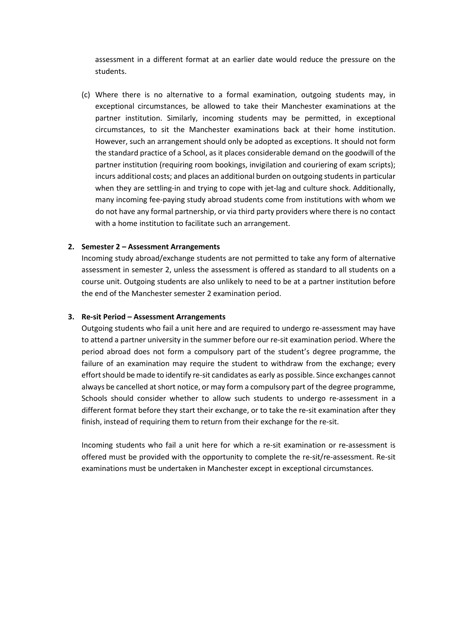assessment in a different format at an earlier date would reduce the pressure on the students.

(c) Where there is no alternative to a formal examination, outgoing students may, in exceptional circumstances, be allowed to take their Manchester examinations at the partner institution. Similarly, incoming students may be permitted, in exceptional circumstances, to sit the Manchester examinations back at their home institution. However, such an arrangement should only be adopted as exceptions. It should not form the standard practice of a School, as it places considerable demand on the goodwill of the partner institution (requiring room bookings, invigilation and couriering of exam scripts); incurs additional costs; and places an additional burden on outgoing students in particular when they are settling-in and trying to cope with jet-lag and culture shock. Additionally, many incoming fee-paying study abroad students come from institutions with whom we do not have any formal partnership, or via third party providers where there is no contact with a home institution to facilitate such an arrangement.

#### **2. Semester 2 – Assessment Arrangements**

Incoming study abroad/exchange students are not permitted to take any form of alternative assessment in semester 2, unless the assessment is offered as standard to all students on a course unit. Outgoing students are also unlikely to need to be at a partner institution before the end of the Manchester semester 2 examination period.

#### **3. Re-sit Period – Assessment Arrangements**

Outgoing students who fail a unit here and are required to undergo re-assessment may have to attend a partner university in the summer before our re-sit examination period. Where the period abroad does not form a compulsory part of the student's degree programme, the failure of an examination may require the student to withdraw from the exchange; every effort should be made to identify re-sit candidates as early as possible. Since exchanges cannot always be cancelled at short notice, or may form a compulsory part of the degree programme, Schools should consider whether to allow such students to undergo re-assessment in a different format before they start their exchange, or to take the re-sit examination after they finish, instead of requiring them to return from their exchange for the re-sit.

Incoming students who fail a unit here for which a re-sit examination or re-assessment is offered must be provided with the opportunity to complete the re-sit/re-assessment. Re-sit examinations must be undertaken in Manchester except in exceptional circumstances.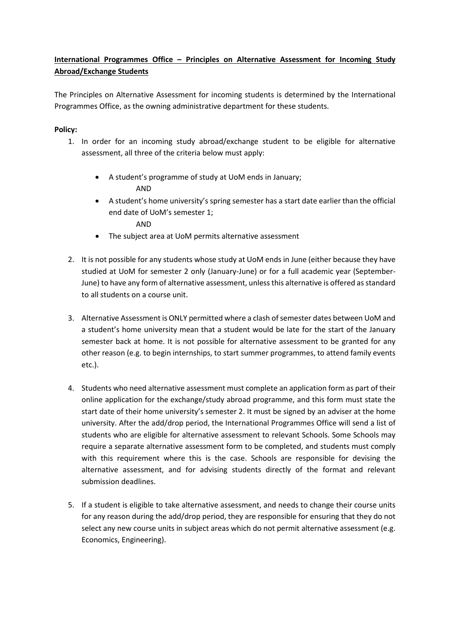# **International Programmes Office – Principles on Alternative Assessment for Incoming Study Abroad/Exchange Students**

The Principles on Alternative Assessment for incoming students is determined by the International Programmes Office, as the owning administrative department for these students.

# **Policy:**

- 1. In order for an incoming study abroad/exchange student to be eligible for alternative assessment, all three of the criteria below must apply:
	- A student's programme of study at UoM ends in January; AND
	- A student's home university's spring semester has a start date earlier than the official end date of UoM's semester 1;
		- AND
	- The subject area at UoM permits alternative assessment
- 2. It is not possible for any students whose study at UoM ends in June (either because they have studied at UoM for semester 2 only (January-June) or for a full academic year (September-June) to have any form of alternative assessment, unless this alternative is offered as standard to all students on a course unit.
- 3. Alternative Assessment is ONLY permitted where a clash of semester dates between UoM and a student's home university mean that a student would be late for the start of the January semester back at home. It is not possible for alternative assessment to be granted for any other reason (e.g. to begin internships, to start summer programmes, to attend family events etc.).
- 4. Students who need alternative assessment must complete an application form as part of their online application for the exchange/study abroad programme, and this form must state the start date of their home university's semester 2. It must be signed by an adviser at the home university. After the add/drop period, the International Programmes Office will send a list of students who are eligible for alternative assessment to relevant Schools. Some Schools may require a separate alternative assessment form to be completed, and students must comply with this requirement where this is the case. Schools are responsible for devising the alternative assessment, and for advising students directly of the format and relevant submission deadlines.
- 5. If a student is eligible to take alternative assessment, and needs to change their course units for any reason during the add/drop period, they are responsible for ensuring that they do not select any new course units in subject areas which do not permit alternative assessment (e.g. Economics, Engineering).